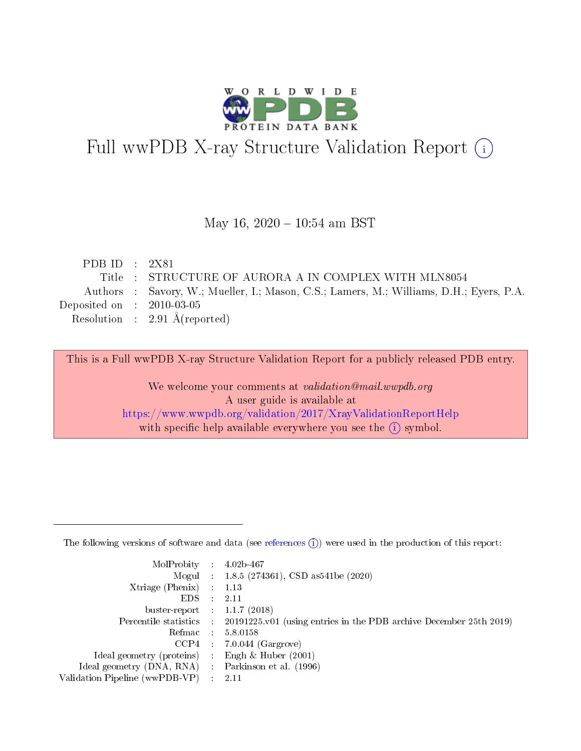

# Full wwPDB X-ray Structure Validation Report (i)

#### May 16,  $2020 - 10:54$  am BST

| PDB ID : $2X81$             |                                                                                         |
|-----------------------------|-----------------------------------------------------------------------------------------|
|                             | Title : STRUCTURE OF AURORA A IN COMPLEX WITH MLN8054                                   |
|                             | Authors : Savory, W.; Mueller, I.; Mason, C.S.; Lamers, M.; Williams, D.H.; Eyers, P.A. |
| Deposited on : $2010-03-05$ |                                                                                         |
|                             | Resolution : $2.91 \text{ Å}$ (reported)                                                |

This is a Full wwPDB X-ray Structure Validation Report for a publicly released PDB entry.

We welcome your comments at validation@mail.wwpdb.org A user guide is available at <https://www.wwpdb.org/validation/2017/XrayValidationReportHelp> with specific help available everywhere you see the  $(i)$  symbol.

The following versions of software and data (see [references](https://www.wwpdb.org/validation/2017/XrayValidationReportHelp#references)  $(1)$ ) were used in the production of this report:

| MolProbity :                   |               | $4.02b - 467$                                                               |
|--------------------------------|---------------|-----------------------------------------------------------------------------|
|                                |               | Mogul : $1.8.5$ (274361), CSD as 541be (2020)                               |
| $X$ triage (Phenix) :          |               | 1.13                                                                        |
| EDS.                           |               | 2.11                                                                        |
| buster-report : $1.1.7$ (2018) |               |                                                                             |
| Percentile statistics :        |               | $20191225 \text{v}01$ (using entries in the PDB archive December 25th 2019) |
| Refmac :                       |               | 5.8.0158                                                                    |
| $CCP4$ :                       |               | $7.0.044$ (Gargrove)                                                        |
| Ideal geometry (proteins) :    |               | Engh $\&$ Huber (2001)                                                      |
| Ideal geometry (DNA, RNA) :    |               | Parkinson et al. (1996)                                                     |
| Validation Pipeline (wwPDB-VP) | $\mathcal{L}$ | 2.11                                                                        |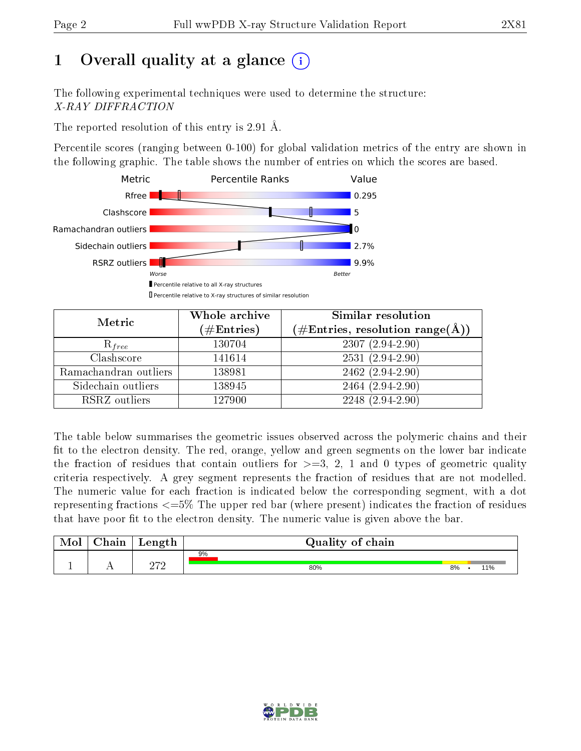# 1 [O](https://www.wwpdb.org/validation/2017/XrayValidationReportHelp#overall_quality)verall quality at a glance  $(i)$

The following experimental techniques were used to determine the structure: X-RAY DIFFRACTION

The reported resolution of this entry is 2.91 Å.

Percentile scores (ranging between 0-100) for global validation metrics of the entry are shown in the following graphic. The table shows the number of entries on which the scores are based.



| Metric                | Whole archive<br>$(\#\mathrm{Entries})$ | Similar resolution<br>$(\#\text{Entries},\, \text{resolution}\; \text{range}(\textup{\AA}))$ |
|-----------------------|-----------------------------------------|----------------------------------------------------------------------------------------------|
| $R_{free}$            | 130704                                  | $2307(2.94-2.90)$                                                                            |
| Clashscore            | 141614                                  | $2531(2.94-2.90)$                                                                            |
| Ramachandran outliers | 138981                                  | $2462(2.94-2.90)$                                                                            |
| Sidechain outliers    | 138945                                  | 2464 (2.94-2.90)                                                                             |
| RSRZ outliers         | 127900                                  | $2248$ $(2.94-2.90)$                                                                         |

The table below summarises the geometric issues observed across the polymeric chains and their fit to the electron density. The red, orange, yellow and green segments on the lower bar indicate the fraction of residues that contain outliers for  $>=3, 2, 1$  and 0 types of geometric quality criteria respectively. A grey segment represents the fraction of residues that are not modelled. The numeric value for each fraction is indicated below the corresponding segment, with a dot representing fractions <=5% The upper red bar (where present) indicates the fraction of residues that have poor fit to the electron density. The numeric value is given above the bar.

| Mol           | hain | Length | Quality of chain |    |  |     |  |  |  |
|---------------|------|--------|------------------|----|--|-----|--|--|--|
|               |      | ∩רח    | 9%               |    |  |     |  |  |  |
| <u>. на п</u> | . .  |        | 80%              | 8% |  | 11% |  |  |  |

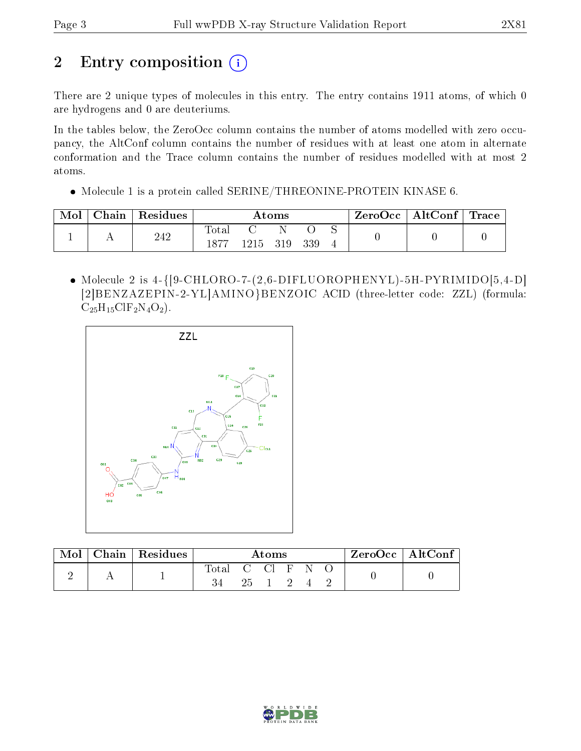# 2 Entry composition (i)

There are 2 unique types of molecules in this entry. The entry contains 1911 atoms, of which 0 are hydrogens and 0 are deuteriums.

In the tables below, the ZeroOcc column contains the number of atoms modelled with zero occupancy, the AltConf column contains the number of residues with at least one atom in alternate conformation and the Trace column contains the number of residues modelled with at most 2 atoms.

Molecule 1 is a protein called SERINE/THREONINE-PROTEIN KINASE 6.

| Mol | Chain | Residues | Atoms         |          |  |     | $\text{ZeroOcc} \mid \text{AltConf} \mid \text{Trace}$ |  |  |
|-----|-------|----------|---------------|----------|--|-----|--------------------------------------------------------|--|--|
|     |       | 242      | Total<br>1877 | 1215 319 |  | 339 |                                                        |  |  |

• Molecule 2 is  $4-\{[9\text{-CHLORO-7}-(2,6\text{-DIFLUOROPHENYL})-5H\text{-PYRIMIDO}[5,4-D]$ [2]BENZAZEPIN-2-YL]AMINO}BENZOIC ACID (three-letter code: ZZL) (formula:  $C_{25}H_{15}CIF_2N_4O_2$ .



| Mol | $\vert$ Chain $\vert$ Residues | Atoms        |    |  |  |   | $ZeroOcc \mid AltConf$ |  |
|-----|--------------------------------|--------------|----|--|--|---|------------------------|--|
|     |                                | Total C Cl F | 25 |  |  | N |                        |  |

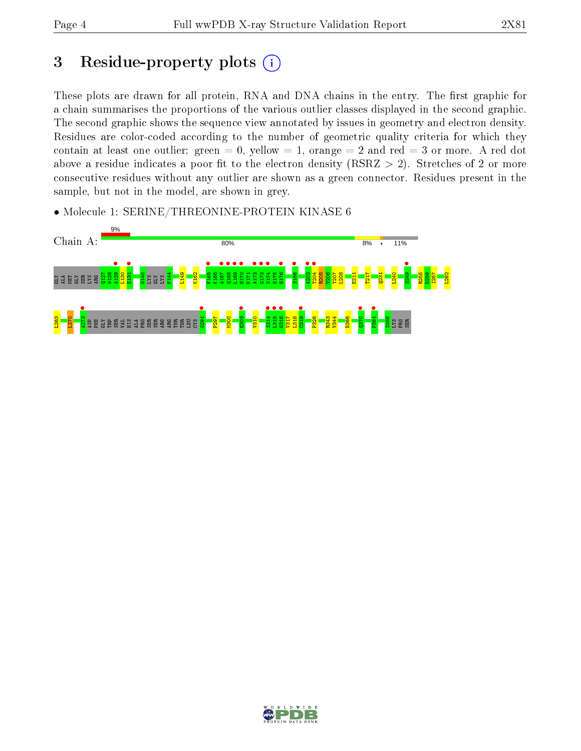## 3 Residue-property plots  $(i)$

These plots are drawn for all protein, RNA and DNA chains in the entry. The first graphic for a chain summarises the proportions of the various outlier classes displayed in the second graphic. The second graphic shows the sequence view annotated by issues in geometry and electron density. Residues are color-coded according to the number of geometric quality criteria for which they contain at least one outlier: green  $= 0$ , yellow  $= 1$ , orange  $= 2$  and red  $= 3$  or more. A red dot above a residue indicates a poor fit to the electron density (RSRZ  $> 2$ ). Stretches of 2 or more consecutive residues without any outlier are shown as a green connector. Residues present in the sample, but not in the model, are shown in grey.

• Molecule 1: SERINE/THREONINE-PROTEIN KINASE 6



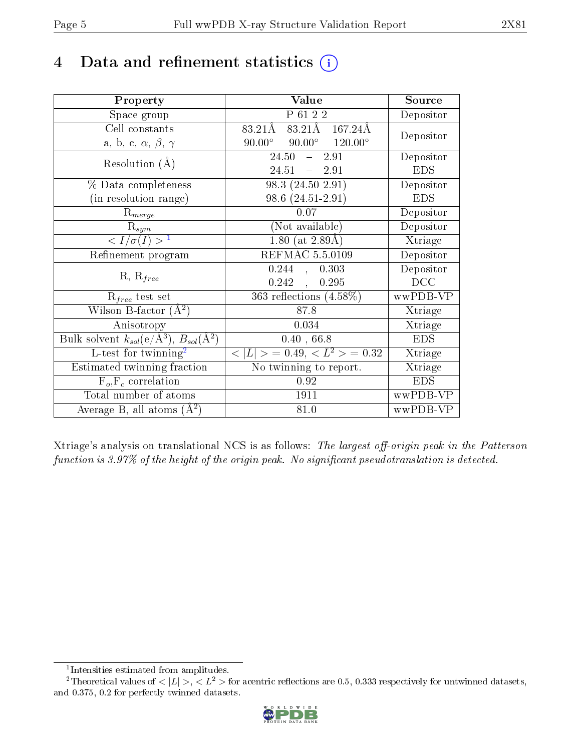## 4 Data and refinement statistics  $(i)$

| Property                                                         | Value                                                  | Source     |
|------------------------------------------------------------------|--------------------------------------------------------|------------|
| Space group                                                      | P 61 2 2                                               | Depositor  |
| Cell constants                                                   | 83.21Å 167.24Å<br>83.21Å                               | Depositor  |
| a, b, c, $\alpha$ , $\beta$ , $\gamma$                           | $90.00^{\circ}$ $90.00^{\circ}$ $120.00^{\circ}$       |            |
| Resolution $(A)$                                                 | 24.50<br>$-2.91$                                       | Depositor  |
|                                                                  | 24.51<br>$-2.91$                                       | <b>EDS</b> |
| % Data completeness                                              | $98.3(24.50-2.91)$                                     | Depositor  |
| (in resolution range)                                            | $98.6(24.51-2.91)$                                     | <b>EDS</b> |
| $R_{merge}$                                                      | 0.07                                                   | Depositor  |
| $\mathrm{R}_{sym}$                                               | (Not available)                                        | Depositor  |
| $\langle I/\sigma(I) \rangle^{-1}$                               | $1.80$ (at 2.89Å)                                      | Xtriage    |
| Refinement program                                               | <b>REFMAC 5.5.0109</b>                                 | Depositor  |
| $R, R_{free}$                                                    | 0.244<br>0.303<br>$\sim$                               | Depositor  |
|                                                                  | $0.242$ ,<br>0.295                                     | DCC        |
| $\mathcal{R}_{free}$ test set                                    | 363 reflections $(4.58\%)$                             | wwPDB-VP   |
| Wilson B-factor $(A^2)$                                          | 87.8                                                   | Xtriage    |
| Anisotropy                                                       | 0.034                                                  | Xtriage    |
| Bulk solvent $k_{sol}(\text{e}/\text{A}^3), B_{sol}(\text{A}^2)$ | 0.40, 66.8                                             | <b>EDS</b> |
| L-test for $\mathrm{twinning}^2$                                 | $\overline{< L >$ = 0.49, $\overline{<}$ $L^2>$ = 0.32 | Xtriage    |
| Estimated twinning fraction                                      | $\overline{\text{No}}$ twinning to report.             | Xtriage    |
| $F_o, F_c$ correlation                                           | 0.92                                                   | <b>EDS</b> |
| Total number of atoms                                            | 1911                                                   | wwPDB-VP   |
| Average B, all atoms $(A^2)$                                     | 81.0                                                   | wwPDB-VP   |

Xtriage's analysis on translational NCS is as follows: The largest off-origin peak in the Patterson function is  $3.97\%$  of the height of the origin peak. No significant pseudotranslation is detected.

<sup>&</sup>lt;sup>2</sup>Theoretical values of  $\langle |L| \rangle$ ,  $\langle L^2 \rangle$  for acentric reflections are 0.5, 0.333 respectively for untwinned datasets, and 0.375, 0.2 for perfectly twinned datasets.



<span id="page-4-1"></span><span id="page-4-0"></span><sup>1</sup> Intensities estimated from amplitudes.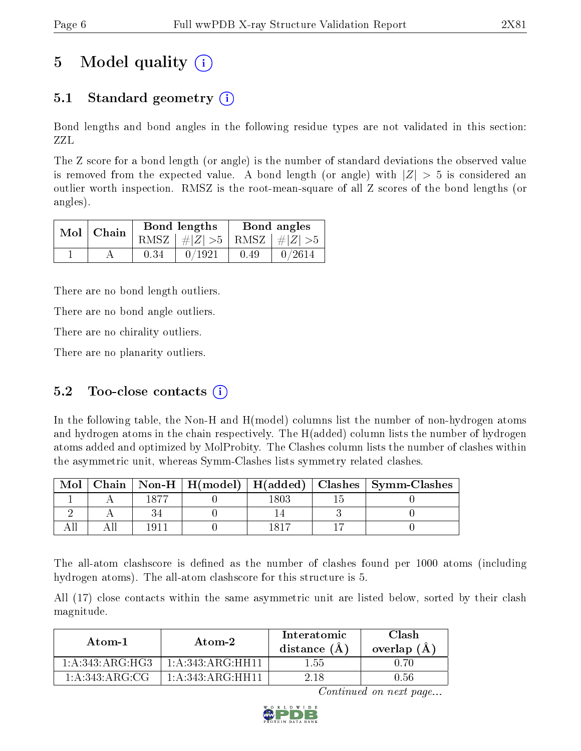# 5 Model quality  $(i)$

## 5.1 Standard geometry (i)

Bond lengths and bond angles in the following residue types are not validated in this section: ZZL

The Z score for a bond length (or angle) is the number of standard deviations the observed value is removed from the expected value. A bond length (or angle) with  $|Z| > 5$  is considered an outlier worth inspection. RMSZ is the root-mean-square of all Z scores of the bond lengths (or angles).

| Mol   Chain |      | Bond lengths                    | Bond angles |        |  |
|-------------|------|---------------------------------|-------------|--------|--|
|             |      | RMSZ $ #Z  > 5$ RMSZ $ #Z  > 5$ |             |        |  |
|             | 0.34 | 0/1921                          | 0.49        | 0/2614 |  |

There are no bond length outliers.

There are no bond angle outliers.

There are no chirality outliers.

There are no planarity outliers.

### 5.2 Too-close contacts  $(i)$

In the following table, the Non-H and H(model) columns list the number of non-hydrogen atoms and hydrogen atoms in the chain respectively. The H(added) column lists the number of hydrogen atoms added and optimized by MolProbity. The Clashes column lists the number of clashes within the asymmetric unit, whereas Symm-Clashes lists symmetry related clashes.

| Mol |      |  | Chain   Non-H   H(model)   H(added)   Clashes   Symm-Clashes |
|-----|------|--|--------------------------------------------------------------|
|     | 1077 |  |                                                              |
|     |      |  |                                                              |
|     | 1Q1. |  |                                                              |

The all-atom clashscore is defined as the number of clashes found per 1000 atoms (including hydrogen atoms). The all-atom clashscore for this structure is 5.

All (17) close contacts within the same asymmetric unit are listed below, sorted by their clash magnitude.

| Atom-1                    | Atom-2               | Interatomic<br>distance $(A)$ | Clash<br>overlap $(A)$ |  |
|---------------------------|----------------------|-------------------------------|------------------------|--|
| 1: A:343:A RG:HG3         | 1: A: 343: ARG: HH11 | 1.55                          | በ 7በ                   |  |
| $1: A:343:A \,R G: \,C G$ | 1: A: 343: ARG: HH11 | 2 18                          | 0.56                   |  |

Continued on next page...

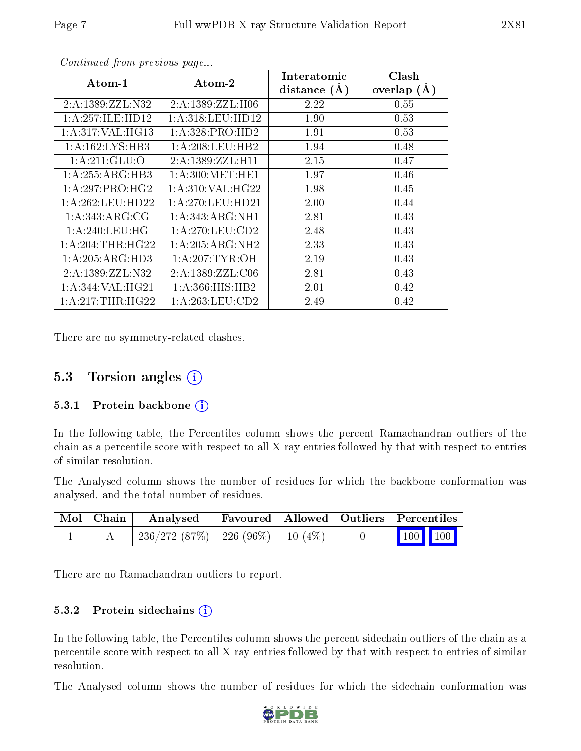| Atom-1                     | Atom-2              | Interatomic      | Clash         |
|----------------------------|---------------------|------------------|---------------|
|                            |                     | distance $(\AA)$ | overlap $(A)$ |
| 2:A:1389:ZZL:N32           | 2:A:1389:ZZL:H06    | 2.22             | 0.55          |
| 1:A:257:ILE:HD12           | 1:A:318:LEU:HD12    | 1.90             | 0.53          |
| 1:A:317:VAL:HG13           | 1:A:328:PRO:HD2     | 1.91             | 0.53          |
| 1: A: 162: LYS: HB3        | 1: A:208:LEU:HB2    | 1.94             | 0.48          |
| $1:A:211:GL\overline{U:O}$ | 2:A:1389:ZZL:H11    | 2.15             | 0.47          |
| 1:A:255:ARG:HB3            | 1: A:300:MET:HE1    | 1.97             | 0.46          |
| 1: A:297: PRO:HG2          | 1: A:310: VAL:HG22  | 1.98             | 0.45          |
| 1: A:262:LEU:HD22          | 1: A:270:LEU:HD21   | 2.00             | 0.44          |
| 1: A: 343: ARG: CG         | $1:$ A:343:ARG:NH1  | 2.81             | 0.43          |
| 1:A:240:LEU:HG             | 1: A:270:LEU:CD2    | 2.48             | 0.43          |
| 1: A:204:THR:HG22          | 1:A:205:ARG:NH2     | 2.33             | 0.43          |
| 1: A:205: ARG:HD3          | 1: A:207:TYR:OH     | 2.19             | 0.43          |
| 2:A:1389:ZZL:N32           | 2:A:1389:ZZL:CO6    | 2.81             | 0.43          |
| 1:A:344:VAL:HG21           | 1: A: 366: HIS: HB2 | 2.01             | 0.42          |
| 1:A:217:THR:HG22           | 1:A:263:LEU:CD2     | 2.49             | 0.42          |

Continued from previous page...

There are no symmetry-related clashes.

### 5.3 Torsion angles  $(i)$

#### 5.3.1 Protein backbone  $(i)$

In the following table, the Percentiles column shows the percent Ramachandran outliers of the chain as a percentile score with respect to all X-ray entries followed by that with respect to entries of similar resolution.

The Analysed column shows the number of residues for which the backbone conformation was analysed, and the total number of residues.

| Mol   Chain | Analysed                                 |  | Favoured   Allowed   Outliers   Percentiles |  |
|-------------|------------------------------------------|--|---------------------------------------------|--|
|             | $236/272$ (87\%)   226 (96\%)   10 (4\%) |  | $\vert$ 100 100 $\vert$                     |  |

There are no Ramachandran outliers to report.

#### 5.3.2 Protein sidechains (i)

In the following table, the Percentiles column shows the percent sidechain outliers of the chain as a percentile score with respect to all X-ray entries followed by that with respect to entries of similar resolution.

The Analysed column shows the number of residues for which the sidechain conformation was

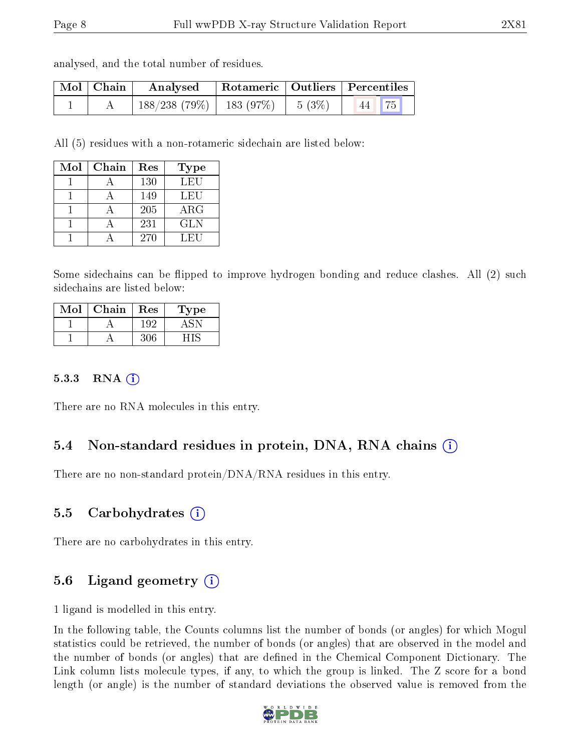analysed, and the total number of residues.

| $\mid$ Mol $\mid$ Chain $\mid$ | Analysed                      | Rotameric   Outliers   Percentiles |          |                           |  |
|--------------------------------|-------------------------------|------------------------------------|----------|---------------------------|--|
|                                | $188/238$ (79\%)   183 (97\%) |                                    | $5(3\%)$ | $\vert 44 \vert 75 \vert$ |  |

All (5) residues with a non-rotameric sidechain are listed below:

| Mol | Chain | Res | Type       |
|-----|-------|-----|------------|
|     |       | 130 | <b>LEU</b> |
|     |       | 149 | LEU        |
|     |       | 205 | $\rm{ARG}$ |
|     |       | 231 | <b>GLN</b> |
|     |       | 270 | LEU        |

Some sidechains can be flipped to improve hydrogen bonding and reduce clashes. All (2) such sidechains are listed below:

| $\operatorname{Mol}$ | Chain | Res | <b>Type</b> |
|----------------------|-------|-----|-------------|
|                      |       | 192 |             |
|                      |       |     |             |

#### 5.3.3 RNA (1)

There are no RNA molecules in this entry.

#### 5.4 Non-standard residues in protein, DNA, RNA chains (i)

There are no non-standard protein/DNA/RNA residues in this entry.

#### 5.5 Carbohydrates (i)

There are no carbohydrates in this entry.

#### 5.6 Ligand geometry  $(i)$

1 ligand is modelled in this entry.

In the following table, the Counts columns list the number of bonds (or angles) for which Mogul statistics could be retrieved, the number of bonds (or angles) that are observed in the model and the number of bonds (or angles) that are dened in the Chemical Component Dictionary. The Link column lists molecule types, if any, to which the group is linked. The Z score for a bond length (or angle) is the number of standard deviations the observed value is removed from the

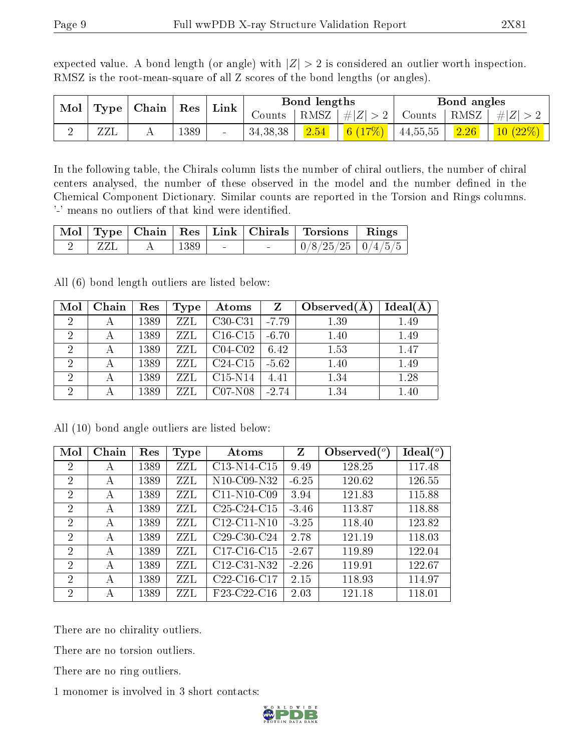|  | Mol   Type   Chain   Res   Link |  | Bond lengths | Bond angles                                                       |
|--|---------------------------------|--|--------------|-------------------------------------------------------------------|
|  |                                 |  |              | Counts   RMSZ $\mid \#  Z  > 2$   Counts   RMSZ $\mid \#  Z  > 2$ |

2 | ZZL | A | 1389 | - | 34,38,38 | <mark>2.54 | 6 (17%) |</mark> 44,55,55 | <mark>2.26 | 10 (22%)</mark>

expected value. A bond length (or angle) with  $|Z| > 2$  is considered an outlier worth inspection. RMSZ is the root-mean-square of all Z scores of the bond lengths (or angles).

In the following table, the Chirals column lists the number of chiral outliers, the number of chiral centers analysed, the number of these observed in the model and the number defined in the Chemical Component Dictionary. Similar counts are reported in the Torsion and Rings columns. '-' means no outliers of that kind were identified.

|  |                  |        | Mol Type Chain Res Link Chirals Torsions Rings |  |
|--|------------------|--------|------------------------------------------------|--|
|  | $\pm$ 1389 $\pm$ | $\sim$ | $\mid 0/8/25/25 \mid 0/4/5/5 \mid$             |  |

All (6) bond length outliers are listed below:

| Mol            | Chain | Res  | Type | Atoms     | $\mathbf{Z}$ | Observed(A) | $Ideal(\AA)$ |
|----------------|-------|------|------|-----------|--------------|-------------|--------------|
| 2              |       | 1389 | ZZL  | $C30-C31$ | $-7.79$      | 1.39        | 1.49         |
| $\overline{2}$ |       | 1389 | ZZL  | $C16-C15$ | $-6.70$      | 1.40        | 1.49         |
| $\overline{2}$ |       | 1389 | ZZL  | $C04-C02$ | 6.42         | 1.53        | 1.47         |
| $\overline{2}$ |       | 1389 | ZZL  | $C24-C15$ | $-5.62$      | 1.40        | 1.49         |
| $\overline{2}$ |       | 1389 | ZZL  | $C15-N14$ | 4.41         | 1.34        | 1.28         |
| $\overline{2}$ |       | 1389 | ZZL  | $C07-N08$ | $-2.74$      | 1.34        | 1.40         |

| Mol            | Chain | Res  | <b>Type</b> | Atoms                                             | Z       | Observed $(°)$ | Ideal $(^\circ)$ |
|----------------|-------|------|-------------|---------------------------------------------------|---------|----------------|------------------|
| $\overline{2}$ | А     | 1389 | ZZL         | C13-N14-C15                                       | 9.49    | 128.25         | 117.48           |
| 2              | А     | 1389 | ZZL         | N <sub>10</sub> -C <sub>09</sub> -N <sub>32</sub> | $-6.25$ | 120.62         | 126.55           |
| $\overline{2}$ | А     | 1389 | ZZL         | $C11-N10-C09$                                     | 3.94    | 121.83         | 115.88           |
| 2              | А     | 1389 | ZZL         | C <sub>25</sub> -C <sub>24</sub> -C <sub>15</sub> | $-3.46$ | 113.87         | 118.88           |
| $\overline{2}$ | А     | 1389 | ZZL         | $C12-C11-N10$                                     | $-3.25$ | 118.40         | 123.82           |
| $\overline{2}$ | А     | 1389 | ZZL         | $C29-C30-C24$                                     | 2.78    | 121.19         | 118.03           |
| 2              | А     | 1389 | ZZL         | $C17-C16-C15$                                     | $-2.67$ | 119.89         | 122.04           |
| $\overline{2}$ | А     | 1389 | ZZL         | C12-C31-N32                                       | $-2.26$ | 119.91         | 122.67           |
| $\overline{2}$ | А     | 1389 | ZZL         | C <sub>22</sub> -C <sub>16</sub> -C <sub>17</sub> | 2.15    | 118.93         | 114.97           |
| $\overline{2}$ | А     | 1389 | ZZL         | F23-C22-C16                                       | 2.03    | 121.18         | 118.01           |

All (10) bond angle outliers are listed below:

There are no chirality outliers.

There are no torsion outliers.

There are no ring outliers.

1 monomer is involved in 3 short contacts:

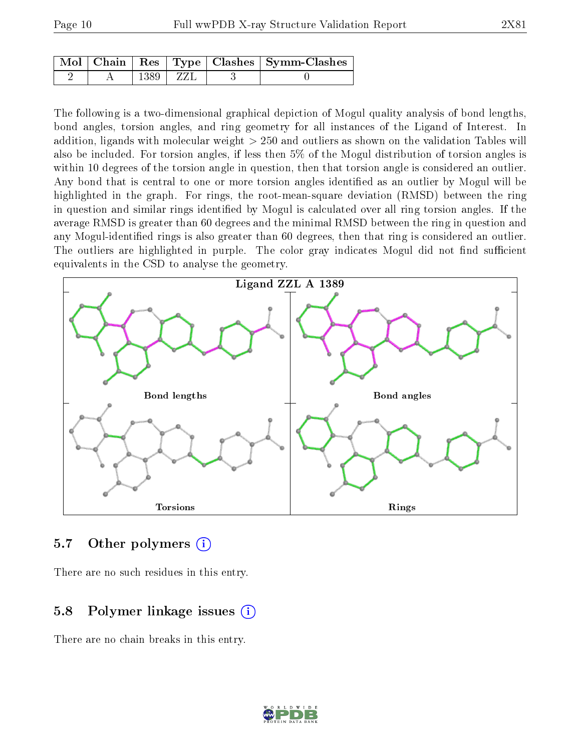|  |                   |       | $\mid$ Mol $\mid$ Chain $\mid$ Res $\mid$ Type $\mid$ Clashes $\mid$ Symm-Clashes $\mid$ |
|--|-------------------|-------|------------------------------------------------------------------------------------------|
|  | 1389 <sub>1</sub> | ' ZZL |                                                                                          |

The following is a two-dimensional graphical depiction of Mogul quality analysis of bond lengths, bond angles, torsion angles, and ring geometry for all instances of the Ligand of Interest. In addition, ligands with molecular weight > 250 and outliers as shown on the validation Tables will also be included. For torsion angles, if less then 5% of the Mogul distribution of torsion angles is within 10 degrees of the torsion angle in question, then that torsion angle is considered an outlier. Any bond that is central to one or more torsion angles identified as an outlier by Mogul will be highlighted in the graph. For rings, the root-mean-square deviation (RMSD) between the ring in question and similar rings identified by Mogul is calculated over all ring torsion angles. If the average RMSD is greater than 60 degrees and the minimal RMSD between the ring in question and any Mogul-identified rings is also greater than 60 degrees, then that ring is considered an outlier. The outliers are highlighted in purple. The color gray indicates Mogul did not find sufficient equivalents in the CSD to analyse the geometry.



#### 5.7 [O](https://www.wwpdb.org/validation/2017/XrayValidationReportHelp#nonstandard_residues_and_ligands)ther polymers  $(i)$

There are no such residues in this entry.

#### 5.8 Polymer linkage issues  $(i)$

There are no chain breaks in this entry.

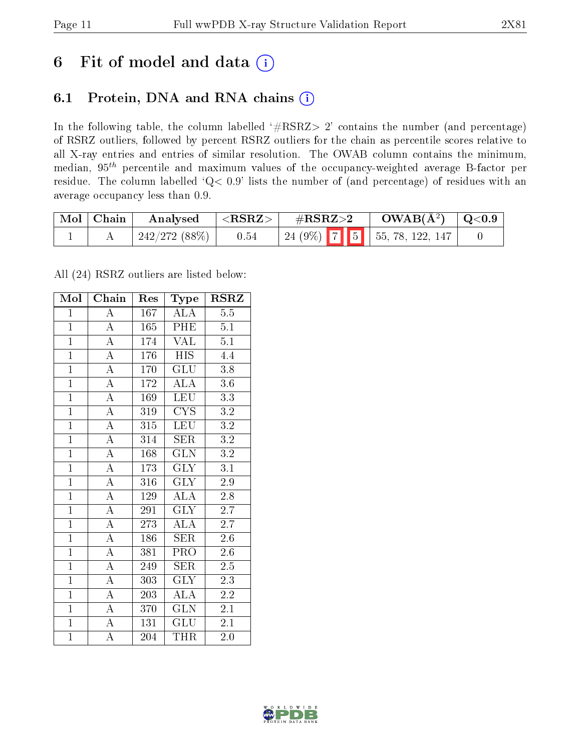## 6 Fit of model and data  $(i)$

## 6.1 Protein, DNA and RNA chains  $(i)$

In the following table, the column labelled  $#RSRZ> 2'$  contains the number (and percentage) of RSRZ outliers, followed by percent RSRZ outliers for the chain as percentile scores relative to all X-ray entries and entries of similar resolution. The OWAB column contains the minimum, median,  $95<sup>th</sup>$  percentile and maximum values of the occupancy-weighted average B-factor per residue. The column labelled ' $Q< 0.9$ ' lists the number of (and percentage) of residues with an average occupancy less than 0.9.

| Mol   Chain | Analysed      | $^\circ$ <rsrz></rsrz> | $\rm \#RSRZ{>}2$ | $OWAB(A^2)$ $ $ Q<0.9              |  |
|-------------|---------------|------------------------|------------------|------------------------------------|--|
|             | 242/272 (88%) | 0.54                   |                  | 24 (9%)   7   5   55, 78, 122, 147 |  |

All (24) RSRZ outliers are listed below:

| Mol            | Chain                   | Res | Type                               | <b>RSRZ</b>      |
|----------------|-------------------------|-----|------------------------------------|------------------|
| $\overline{1}$ | $\overline{\rm A}$      | 167 | <b>ALA</b>                         | $\overline{5.5}$ |
| $\overline{1}$ | $\overline{A}$          | 165 | PHE                                | 5.1              |
| $\overline{1}$ | $\overline{\rm A}$      | 174 | VAL                                | 5.1              |
| $\overline{1}$ | $\overline{A}$          | 176 | <b>HIS</b>                         | 4.4              |
| $\overline{1}$ | $\overline{\rm A}$      | 170 | GLU                                | $\overline{3.8}$ |
| $\overline{1}$ | $\overline{A}$          | 172 | $\mathrm{AL}\overline{\mathrm{A}}$ | $3.6\,$          |
| $\overline{1}$ | $\overline{A}$          | 169 | <b>LEU</b>                         | 3.3              |
| $\overline{1}$ | $\overline{A}$          | 319 | $\overline{\text{CYS}}$            | 3.2              |
| $\overline{1}$ | $\overline{\rm A}$      | 315 | <b>LEU</b>                         | $\rm 3.2$        |
| $\overline{1}$ | $\overline{A}$          | 314 | SER                                | $\overline{3.2}$ |
| $\mathbf{1}$   | $\overline{\rm A}$      | 168 | <b>GLN</b>                         | $\rm 3.2$        |
| $\overline{1}$ | $\overline{A}$          | 173 | $\overline{\text{GLY}}$            | $\overline{3.1}$ |
| $\overline{1}$ | $\overline{\mathbf{A}}$ | 316 | <b>GLY</b>                         | 2.9              |
| $\overline{1}$ | $\overline{A}$          | 129 | $A\overline{LA}$                   | $2.\overline{8}$ |
| $\overline{1}$ | $\overline{\rm A}$      | 291 | <b>GLY</b>                         | $2.\overline{7}$ |
| $\overline{1}$ | $\overline{\rm A}$      | 273 | $A\overline{LA}$                   | 2.7              |
| $\overline{1}$ | $\overline{A}$          | 186 | <b>SER</b>                         | $\overline{2.6}$ |
| $\overline{1}$ | $\overline{\rm A}$      | 381 | $\overline{\text{PRO}}$            | 2.6              |
| $\overline{1}$ | $\overline{\rm A}$      | 249 | <b>SER</b>                         | 2.5              |
| $\overline{1}$ | $\overline{A}$          | 303 | $\overline{\text{GLY}}$            | 2.3              |
| $\overline{1}$ | $\overline{\rm A}$      | 203 | $A\overline{LA}$                   | 2.2              |
| $\overline{1}$ | $\overline{A}$          | 370 | $\overline{\text{GLN}}$            | 2.1              |
| $\overline{1}$ | $\overline{\rm A}$      | 131 | GLU                                | 2.1              |
| $\overline{1}$ | A                       | 204 | THR                                | 2.0              |

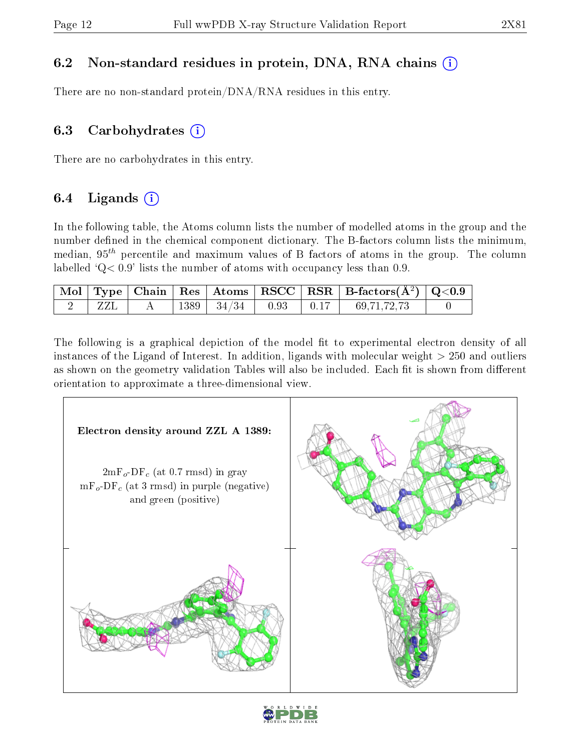## 6.2 Non-standard residues in protein, DNA, RNA chains (i)

There are no non-standard protein/DNA/RNA residues in this entry.

### 6.3 Carbohydrates  $(i)$

There are no carbohydrates in this entry.

## 6.4 Ligands  $(i)$

In the following table, the Atoms column lists the number of modelled atoms in the group and the number defined in the chemical component dictionary. The B-factors column lists the minimum, median,  $95<sup>th</sup>$  percentile and maximum values of B factors of atoms in the group. The column labelled  $Q < 0.9$ ' lists the number of atoms with occupancy less than 0.9.

|  |  |                                     |  | $\mid$ Mol $\mid$ Type $\mid$ Chain $\mid$ Res $\mid$ Atoms $\mid$ RSCC $\mid$ RSR $\mid$ B-factors(A <sup>2</sup> ) $\mid$ Q<0.9 $\mid$ |  |
|--|--|-------------------------------------|--|------------------------------------------------------------------------------------------------------------------------------------------|--|
|  |  | $+1389$   $34/34$   $0.93$   $0.17$ |  | 69,71,72,73                                                                                                                              |  |

The following is a graphical depiction of the model fit to experimental electron density of all instances of the Ligand of Interest. In addition, ligands with molecular weight  $> 250$  and outliers as shown on the geometry validation Tables will also be included. Each fit is shown from different orientation to approximate a three-dimensional view.